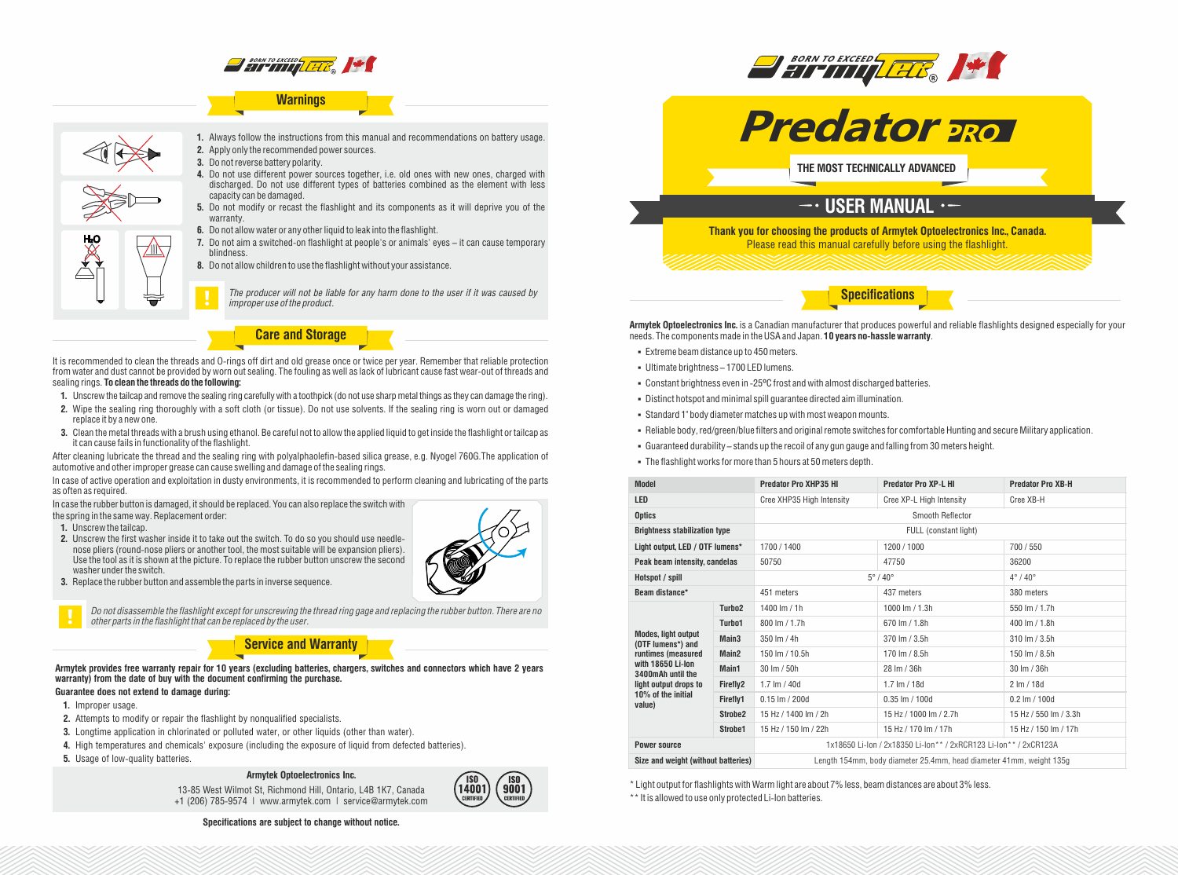

## **Warnings**



**1.** Always follow the instructions from this manual and recommendations on battery usage. **2.** Apply only the recommended power sources.

- **3.** Do not reverse battery polarity.
- **4.** Do not use different power sources together, i.e. old ones with new ones, charged with discharged. Do not use different types of batteries combined as the element with less capacity can be damaged.
- **5.** Do not modify or recast the flashlight and its components as it will deprive you of the warranty.
- **6.** Do not allow water or any other liquid to leak into the flashlight.
- **7.** Do not aim a switched-on flashlight at people's or animals' eyes it can cause temporary blindness.
- **8.** Do not allow children to use the flashlight without your assistance.

*The producer will not be liable for any harm done to the user if it was caused by improper use of the product.*

**Care and Storage**

It is recommended to clean the threads and O-rings off dirt and old grease once or twice per year. Remember that reliable protection from water and dust cannot be provided by worn out sealing. The fouling as well as lack of lubricant cause fast wear-out of threads and sealing rings. **To clean the threads do the following:**

- **1.** Unscrew the tailcap and remove the sealing ring carefully with a toothpick (do not use sharp metal things as they can damage the ring).
- **2.** Wipe the sealing ring thoroughly with a soft cloth (or tissue). Do not use solvents. If the sealing ring is worn out or damaged replace it by a new one.
- **3.** Clean the metal threads with a brush using ethanol. Be careful not to allow the applied liquid to get inside the flashlight or tailcap as it can cause fails in functionality of the flashlight.

After cleaning lubricate the thread and the sealing ring with polyalphaolefin-based silica grease, e.g. Nyogel 760G.The application of automotive and other improper grease can cause swelling and damage of the sealing rings.

In case of active operation and exploitation in dusty environments, it is recommended to perform cleaning and lubricating of the parts as often as required.

In case the rubber button is damaged, it should be replaced. You can also replace the switch with

the spring in the same way. Replacement order:

- **1.** Unscrew the tailcap.
- **2.** Unscrew the first washer inside it to take out the switch. To do so you should use needlenose pliers (round-nose pliers or another tool, the most suitable will be expansion pliers). Use the tool as it is shown at the picture. To replace the rubber button unscrew the second washer under the switch.
- **3.** Replace the rubber button and assemble the parts in inverse sequence.



*Do not disassemble the flashlight except for unscrewing the thread ring gage and replacing the rubber button. There are no other parts in the flashlight that can be replaced by the user.*

# **Service and Warranty**

**Armytek provides free warranty repair for 10 years (excluding batteries, chargers, switches and connectors which have 2 years warranty) from the date of buy with the document confirming the purchase.**

# **Guarantee does not extend to damage during:**

- **1.** Improper usage.
- **2.** Attempts to modify or repair the flashlight by nonqualified specialists.
- **3.** Longtime application in chlorinated or polluted water, or other liquids (other than water).
- **4.** High temperatures and chemicals' exposure (including the exposure of liquid from defected batteries).
- **5.** Usage of low-quality batteries.

## **Armytek Optoelectronics Inc.**

13-85 West Wilmot St, Richmond Hill, Ontario, L4B 1K7, Canada +1 (206) 785-9574 | www.armytek.com | service@armytek.com



**Specifications are subject to change without notice.**





**THE MOST TECHNICALLY ADVANCED**

# $-$ · USER MANUAL ·-

**Thank you for choosing the products of Armytek Optoelectronics Inc., Canada.** Please read this manual carefully before using the flashlight.

## **Specifications**

**Armytek Optoelectronics Inc.** is a Canadian manufacturer that produces powerful and reliable flashlights designed especially for your needs. The components made in the USA and Japan. **10 years no-hassle warranty**.

- Extreme beam distance up to 450 meters.
- § Ultimate brightness 1700 LED lumens.
- § Constant brightness even in -25ºC frost and with almost discharged batteries.
- § Distinct hotspot and minimal spill guarantee directed aim illumination.
- § Standard 1" body diameter matches up with most weapon mounts.
- § Reliable body, red/green/blue filters and original remote switches for comfortable Hunting and secure Military application.
- § Guaranteed durability stands up the recoil of any gun gauge and falling from 30 meters height.
- The flashlight works for more than 5 hours at 50 meters depth.

| <b>Model</b>                                                                                                                                                             |                     | <b>Predator Pro XHP35 HI</b>                                        | <b>Predator Pro XP-L HI</b> | <b>Predator Pro XB-H</b>         |
|--------------------------------------------------------------------------------------------------------------------------------------------------------------------------|---------------------|---------------------------------------------------------------------|-----------------------------|----------------------------------|
| <b>LED</b>                                                                                                                                                               |                     | Cree XHP35 High Intensity                                           | Cree XP-L High Intensity    | Cree XB-H                        |
| <b>Optics</b>                                                                                                                                                            |                     | Smooth Reflector                                                    |                             |                                  |
| <b>Brightness stabilization type</b>                                                                                                                                     |                     | FULL (constant light)                                               |                             |                                  |
| Light output, LED / OTF lumens*                                                                                                                                          |                     | 1700 / 1400                                                         | 1200 / 1000                 | 700 / 550                        |
| Peak beam intensity, candelas                                                                                                                                            |                     | 50750                                                               | 47750                       | 36200                            |
| Hotspot / spill                                                                                                                                                          |                     | $5^\circ/40^\circ$                                                  |                             | $4^{\circ}$ / $40^{\circ}$       |
| Beam distance*                                                                                                                                                           |                     | 451 meters                                                          | 437 meters                  | 380 meters                       |
| <b>Modes, light output</b><br>(OTF lumens*) and<br>runtimes (measured<br>with 18650 Li-Ion<br>3400mAh until the<br>light output drops to<br>10% of the initial<br>value) | Turbo <sub>2</sub>  | 1400 lm / 1h                                                        | 1000 lm $/$ 1.3h            | 550 lm / 1.7h                    |
|                                                                                                                                                                          | Turbo1              | 800 lm / 1.7h                                                       | 670 lm / 1.8h               | 400 lm / 1.8h                    |
|                                                                                                                                                                          | Main <sub>3</sub>   | $350 \text{ Im} / 4h$                                               | 370 lm / 3.5h               | $310 \,$ lm $/ 3.5h$             |
|                                                                                                                                                                          | Main <sub>2</sub>   | 150 lm / 10.5h                                                      | 170 lm / 8.5h               | 150 lm / 8.5h                    |
|                                                                                                                                                                          | Main1               | $30 \text{ Im} / 50 \text{h}$                                       | 28 Im / 36h                 | 30 lm / 36h                      |
|                                                                                                                                                                          | Firefly2            | 1.7 $Im / 40d$                                                      | $1.7 \text{ Im} / 18d$      | $2 \text{ Im} / 18d$             |
|                                                                                                                                                                          | Firefly1            | $0.15$ lm $/$ 200d                                                  | $0.35$ lm $/ 100d$          | $0.2 \text{ Im} / 100 \text{ d}$ |
|                                                                                                                                                                          | Strobe <sub>2</sub> | 15 Hz / 1400 lm / 2h                                                | 15 Hz / 1000 lm / 2.7h      | 15 Hz / 550 lm / 3.3h            |
|                                                                                                                                                                          | Strobe1             | 15 Hz / 150 lm / 22h                                                | 15 Hz / 170 lm / 17h        | 15 Hz / 150 lm / 17h             |
| <b>Power source</b>                                                                                                                                                      |                     | 1x18650 Li-lon / 2x18350 Li-lon** / 2xRCR123 Li-lon** / 2xCR123A    |                             |                                  |
| Size and weight (without batteries)                                                                                                                                      |                     | Length 154mm, body diameter 25.4mm, head diameter 41mm, weight 135g |                             |                                  |

\* Light output for flashlights with Warm light are about 7% less, beam distances are about 3% less. \*\* It is allowed to use only protected Li-Ion batteries.